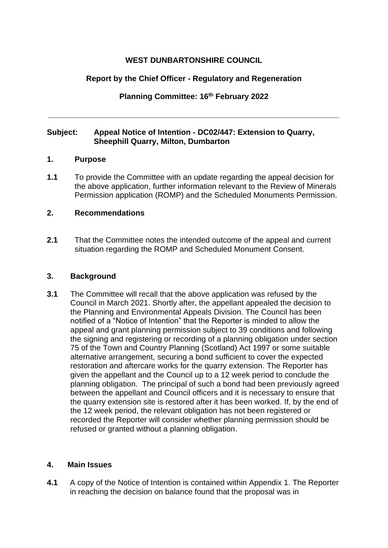# **WEST DUNBARTONSHIRE COUNCIL**

# **Report by the Chief Officer - Regulatory and Regeneration**

# **Planning Committee: 16th February 2022**

**\_\_\_\_\_\_\_\_\_\_\_\_\_\_\_\_\_\_\_\_\_\_\_\_\_\_\_\_\_\_\_\_\_\_\_\_\_\_\_\_\_\_\_\_\_\_\_\_\_\_\_\_\_\_\_\_\_\_\_\_\_\_\_\_\_\_\_**

## **Subject: Appeal Notice of Intention - DC02/447: Extension to Quarry, Sheephill Quarry, Milton, Dumbarton**

### **1. Purpose**

**1.1** To provide the Committee with an update regarding the appeal decision for the above application, further information relevant to the Review of Minerals Permission application (ROMP) and the Scheduled Monuments Permission.

## **2. Recommendations**

**2.1** That the Committee notes the intended outcome of the appeal and current situation regarding the ROMP and Scheduled Monument Consent.

### **3. Background**

**3.1** The Committee will recall that the above application was refused by the Council in March 2021. Shortly after, the appellant appealed the decision to the Planning and Environmental Appeals Division. The Council has been notified of a "Notice of Intention" that the Reporter is minded to allow the appeal and grant planning permission subject to 39 conditions and following the signing and registering or recording of a planning obligation under section 75 of the Town and Country Planning (Scotland) Act 1997 or some suitable alternative arrangement, securing a bond sufficient to cover the expected restoration and aftercare works for the quarry extension. The Reporter has given the appellant and the Council up to a 12 week period to conclude the planning obligation. The principal of such a bond had been previously agreed between the appellant and Council officers and it is necessary to ensure that the quarry extension site is restored after it has been worked. If, by the end of the 12 week period, the relevant obligation has not been registered or recorded the Reporter will consider whether planning permission should be refused or granted without a planning obligation.

#### **4. Main Issues**

**4.1** A copy of the Notice of Intention is contained within Appendix 1. The Reporter in reaching the decision on balance found that the proposal was in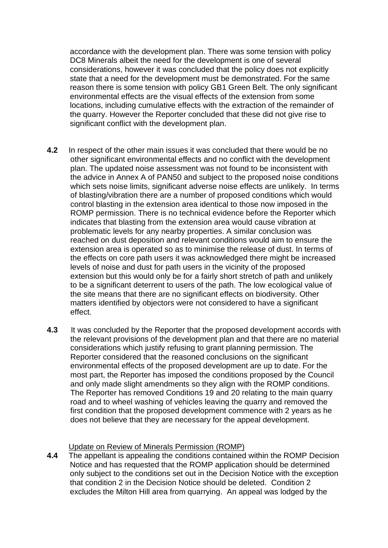accordance with the development plan. There was some tension with policy DC8 Minerals albeit the need for the development is one of several considerations, however it was concluded that the policy does not explicitly state that a need for the development must be demonstrated. For the same reason there is some tension with policy GB1 Green Belt. The only significant environmental effects are the visual effects of the extension from some locations, including cumulative effects with the extraction of the remainder of the quarry. However the Reporter concluded that these did not give rise to significant conflict with the development plan.

- **4.2** In respect of the other main issues it was concluded that there would be no other significant environmental effects and no conflict with the development plan. The updated noise assessment was not found to be inconsistent with the advice in Annex A of PAN50 and subject to the proposed noise conditions which sets noise limits, significant adverse noise effects are unlikely. In terms of blasting/vibration there are a number of proposed conditions which would control blasting in the extension area identical to those now imposed in the ROMP permission. There is no technical evidence before the Reporter which indicates that blasting from the extension area would cause vibration at problematic levels for any nearby properties. A similar conclusion was reached on dust deposition and relevant conditions would aim to ensure the extension area is operated so as to minimise the release of dust. In terms of the effects on core path users it was acknowledged there might be increased levels of noise and dust for path users in the vicinity of the proposed extension but this would only be for a fairly short stretch of path and unlikely to be a significant deterrent to users of the path. The low ecological value of the site means that there are no significant effects on biodiversity. Other matters identified by objectors were not considered to have a significant effect.
- **4.3** It was concluded by the Reporter that the proposed development accords with the relevant provisions of the development plan and that there are no material considerations which justify refusing to grant planning permission. The Reporter considered that the reasoned conclusions on the significant environmental effects of the proposed development are up to date. For the most part, the Reporter has imposed the conditions proposed by the Council and only made slight amendments so they align with the ROMP conditions. The Reporter has removed Conditions 19 and 20 relating to the main quarry road and to wheel washing of vehicles leaving the quarry and removed the first condition that the proposed development commence with 2 years as he does not believe that they are necessary for the appeal development.

#### Update on Review of Minerals Permission (ROMP)

**4.4** The appellant is appealing the conditions contained within the ROMP Decision Notice and has requested that the ROMP application should be determined only subject to the conditions set out in the Decision Notice with the exception that condition 2 in the Decision Notice should be deleted. Condition 2 excludes the Milton Hill area from quarrying. An appeal was lodged by the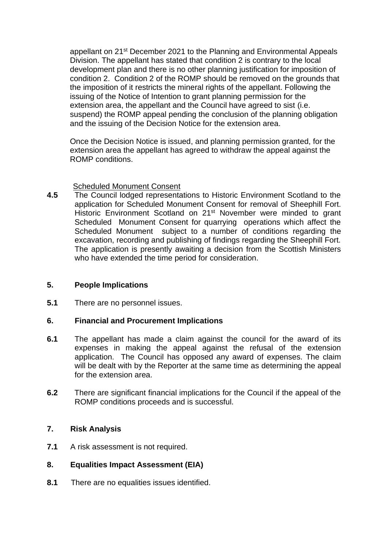appellant on 21<sup>st</sup> December 2021 to the Planning and Environmental Appeals Division. The appellant has stated that condition 2 is contrary to the local development plan and there is no other planning justification for imposition of condition 2. Condition 2 of the ROMP should be removed on the grounds that the imposition of it restricts the mineral rights of the appellant. Following the issuing of the Notice of Intention to grant planning permission for the extension area, the appellant and the Council have agreed to sist (i.e. suspend) the ROMP appeal pending the conclusion of the planning obligation and the issuing of the Decision Notice for the extension area.

Once the Decision Notice is issued, and planning permission granted, for the extension area the appellant has agreed to withdraw the appeal against the ROMP conditions.

### Scheduled Monument Consent

**4.5** The Council lodged representations to Historic Environment Scotland to the application for Scheduled Monument Consent for removal of Sheephill Fort. Historic Environment Scotland on 21<sup>st</sup> November were minded to grant Scheduled Monument Consent for quarrying operations which affect the Scheduled Monument subject to a number of conditions regarding the excavation, recording and publishing of findings regarding the Sheephill Fort. The application is presently awaiting a decision from the Scottish Ministers who have extended the time period for consideration.

## **5. People Implications**

**5.1** There are no personnel issues.

## **6. Financial and Procurement Implications**

- **6.1** The appellant has made a claim against the council for the award of its expenses in making the appeal against the refusal of the extension application. The Council has opposed any award of expenses. The claim will be dealt with by the Reporter at the same time as determining the appeal for the extension area.
- **6.2** There are significant financial implications for the Council if the appeal of the ROMP conditions proceeds and is successful.

## **7. Risk Analysis**

**7.1** A risk assessment is not required.

## **8. Equalities Impact Assessment (EIA)**

**8.1** There are no equalities issues identified.